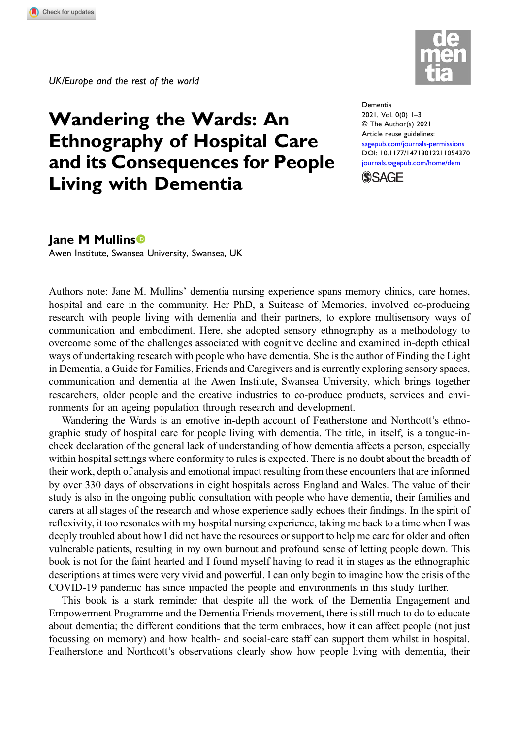

## Wandering the Wards: An Ethnography of Hospital Care and its Consequences for People Living with Dementia

Dementia 2021, Vol. 0(0) 1–3 © The Author(s) 2021 Article reuse guidelines: [sagepub.com/journals-permissions](https://uk.sagepub.com/en-gb/journals-permissions) DOI: [10.1177/14713012211054370](https://doi.org/10.1177/14713012211054370) [journals.sagepub.com/home/dem](https://journals.sagepub.com/home/dem)



## Jane M Mullins

Awen Institute, Swansea University, Swansea, UK

Authors note: Jane M. Mullins' dementia nursing experience spans memory clinics, care homes, hospital and care in the community. Her PhD, a Suitcase of Memories, involved co-producing research with people living with dementia and their partners, to explore multisensory ways of communication and embodiment. Here, she adopted sensory ethnography as a methodology to overcome some of the challenges associated with cognitive decline and examined in-depth ethical ways of undertaking research with people who have dementia. She is the author of Finding the Light in Dementia, a Guide for Families, Friends and Caregivers and is currently exploring sensory spaces, communication and dementia at the Awen Institute, Swansea University, which brings together researchers, older people and the creative industries to co-produce products, services and environments for an ageing population through research and development.

Wandering the Wards is an emotive in-depth account of Featherstone and Northcott's ethnographic study of hospital care for people living with dementia. The title, in itself, is a tongue-incheek declaration of the general lack of understanding of how dementia affects a person, especially within hospital settings where conformity to rules is expected. There is no doubt about the breadth of their work, depth of analysis and emotional impact resulting from these encounters that are informed by over 330 days of observations in eight hospitals across England and Wales. The value of their study is also in the ongoing public consultation with people who have dementia, their families and carers at all stages of the research and whose experience sadly echoes their findings. In the spirit of reflexivity, it too resonates with my hospital nursing experience, taking me back to a time when I was deeply troubled about how I did not have the resources or support to help me care for older and often vulnerable patients, resulting in my own burnout and profound sense of letting people down. This book is not for the faint hearted and I found myself having to read it in stages as the ethnographic descriptions at times were very vivid and powerful. I can only begin to imagine how the crisis of the COVID-19 pandemic has since impacted the people and environments in this study further.

This book is a stark reminder that despite all the work of the Dementia Engagement and Empowerment Programme and the Dementia Friends movement, there is still much to do to educate about dementia; the different conditions that the term embraces, how it can affect people (not just focussing on memory) and how health- and social-care staff can support them whilst in hospital. Featherstone and Northcott's observations clearly show how people living with dementia, their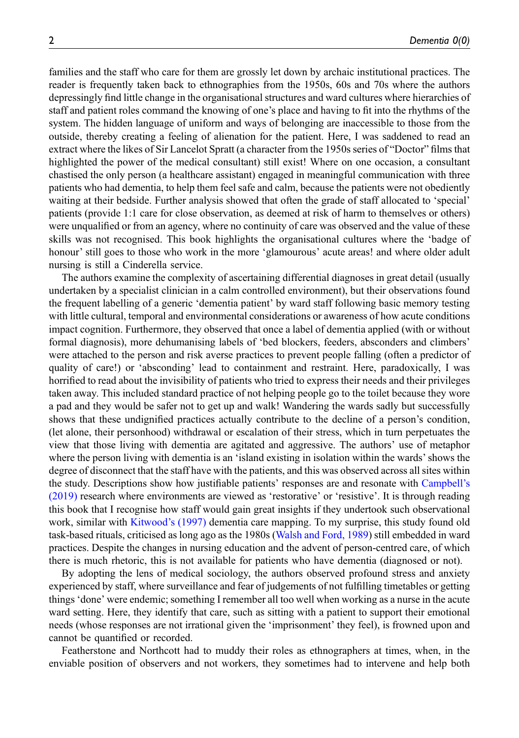families and the staff who care for them are grossly let down by archaic institutional practices. The reader is frequently taken back to ethnographies from the 1950s, 60s and 70s where the authors depressingly find little change in the organisational structures and ward cultures where hierarchies of staff and patient roles command the knowing of one's place and having to fit into the rhythms of the system. The hidden language of uniform and ways of belonging are inaccessible to those from the outside, thereby creating a feeling of alienation for the patient. Here, I was saddened to read an extract where the likes of Sir Lancelot Spratt (a character from the 1950s series of "Doctor" films that highlighted the power of the medical consultant) still exist! Where on one occasion, a consultant chastised the only person (a healthcare assistant) engaged in meaningful communication with three patients who had dementia, to help them feel safe and calm, because the patients were not obediently waiting at their bedside. Further analysis showed that often the grade of staff allocated to 'special' patients (provide 1:1 care for close observation, as deemed at risk of harm to themselves or others) were unqualified or from an agency, where no continuity of care was observed and the value of these skills was not recognised. This book highlights the organisational cultures where the 'badge of honour' still goes to those who work in the more 'glamourous' acute areas! and where older adult nursing is still a Cinderella service.

The authors examine the complexity of ascertaining differential diagnoses in great detail (usually undertaken by a specialist clinician in a calm controlled environment), but their observations found the frequent labelling of a generic 'dementia patient' by ward staff following basic memory testing with little cultural, temporal and environmental considerations or awareness of how acute conditions impact cognition. Furthermore, they observed that once a label of dementia applied (with or without formal diagnosis), more dehumanising labels of 'bed blockers, feeders, absconders and climbers' were attached to the person and risk averse practices to prevent people falling (often a predictor of quality of care!) or 'absconding' lead to containment and restraint. Here, paradoxically, I was horrified to read about the invisibility of patients who tried to express their needs and their privileges taken away. This included standard practice of not helping people go to the toilet because they wore a pad and they would be safer not to get up and walk! Wandering the wards sadly but successfully shows that these undignified practices actually contribute to the decline of a person's condition, (let alone, their personhood) withdrawal or escalation of their stress, which in turn perpetuates the view that those living with dementia are agitated and aggressive. The authors' use of metaphor where the person living with dementia is an 'island existing in isolation within the wards'shows the degree of disconnect that the staff have with the patients, and this was observed across all sites within the study. Descriptions show how justifiable patients' responses are and resonate with [Campbell](#page-2-0)'s [\(2019\)](#page-2-0) research where environments are viewed as 'restorative' or 'resistive'. It is through reading this book that I recognise how staff would gain great insights if they undertook such observational work, similar with [Kitwood](#page-2-1)'s (1997) dementia care mapping. To my surprise, this study found old task-based rituals, criticised as long ago as the 1980s [\(Walsh and Ford, 1989](#page-2-2)) still embedded in ward practices. Despite the changes in nursing education and the advent of person-centred care, of which there is much rhetoric, this is not available for patients who have dementia (diagnosed or not).

By adopting the lens of medical sociology, the authors observed profound stress and anxiety experienced by staff, where surveillance and fear of judgements of not fulfilling timetables or getting things 'done' were endemic; something I remember all too well when working as a nurse in the acute ward setting. Here, they identify that care, such as sitting with a patient to support their emotional needs (whose responses are not irrational given the 'imprisonment' they feel), is frowned upon and cannot be quantified or recorded.

Featherstone and Northcott had to muddy their roles as ethnographers at times, when, in the enviable position of observers and not workers, they sometimes had to intervene and help both